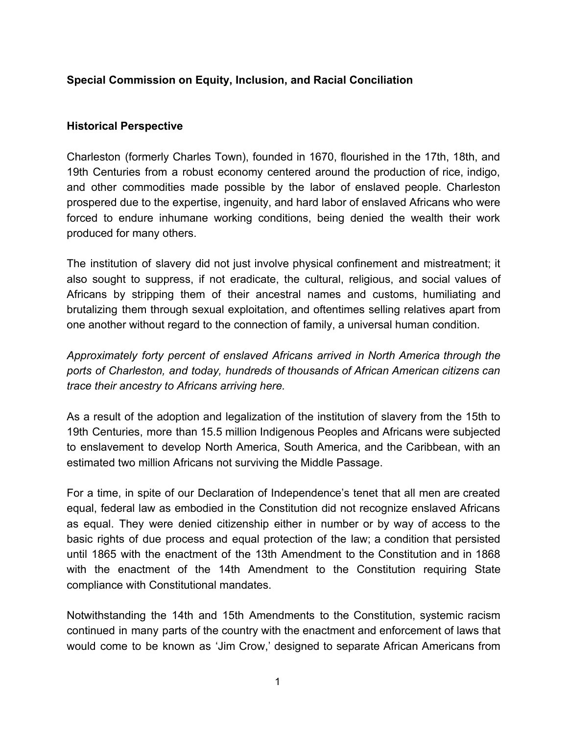# **Special Commission on Equity, Inclusion, and Racial Conciliation**

### **Historical Perspective**

Charleston (formerly Charles Town), founded in 1670, flourished in the 17th, 18th, and 19th Centuries from a robust economy centered around the production of rice, indigo, and other commodities made possible by the labor of enslaved people. Charleston prospered due to the expertise, ingenuity, and hard labor of enslaved Africans who were forced to endure inhumane working conditions, being denied the wealth their work produced for many others.

The institution of slavery did not just involve physical confinement and mistreatment; it also sought to suppress, if not eradicate, the cultural, religious, and social values of Africans by stripping them of their ancestral names and customs, humiliating and brutalizing them through sexual exploitation, and oftentimes selling relatives apart from one another without regard to the connection of family, a universal human condition.

*Approximately forty percent of enslaved Africans arrived in North America through the ports of Charleston, and today, hundreds of thousands of African American citizens can trace their ancestry to Africans arriving here.*

As a result of the adoption and legalization of the institution of slavery from the 15th to 19th Centuries, more than 15.5 million Indigenous Peoples and Africans were subjected to enslavement to develop North America, South America, and the Caribbean, with an estimated two million Africans not surviving the Middle Passage.

For a time, in spite of our Declaration of Independence's tenet that all men are created equal, federal law as embodied in the Constitution did not recognize enslaved Africans as equal. They were denied citizenship either in number or by way of access to the basic rights of due process and equal protection of the law; a condition that persisted until 1865 with the enactment of the 13th Amendment to the Constitution and in 1868 with the enactment of the 14th Amendment to the Constitution requiring State compliance with Constitutional mandates.

Notwithstanding the 14th and 15th Amendments to the Constitution, systemic racism continued in many parts of the country with the enactment and enforcement of laws that would come to be known as 'Jim Crow,' designed to separate African Americans from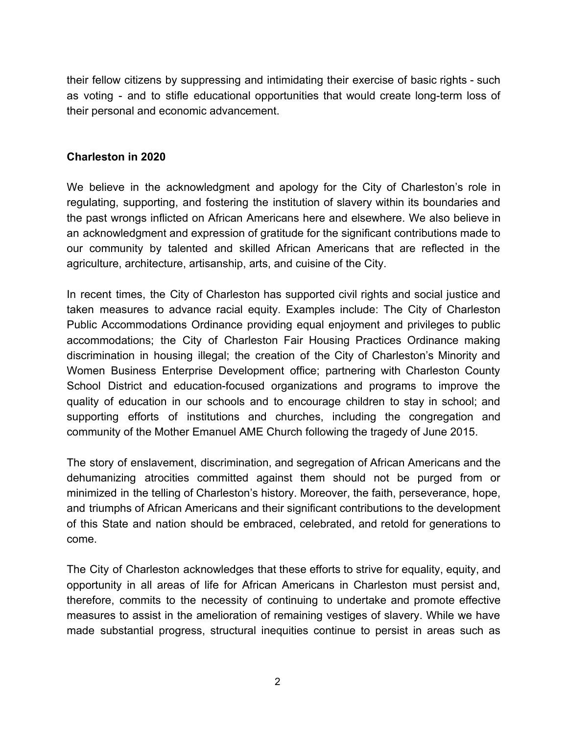their fellow citizens by suppressing and intimidating their exercise of basic rights - such as voting - and to stifle educational opportunities that would create long-term loss of their personal and economic advancement.

#### **Charleston in 2020**

We believe in the acknowledgment and apology for the City of Charleston's role in regulating, supporting, and fostering the institution of slavery within its boundaries and the past wrongs inflicted on African Americans here and elsewhere. We also believe in an acknowledgment and expression of gratitude for the significant contributions made to our community by talented and skilled African Americans that are reflected in the agriculture, architecture, artisanship, arts, and cuisine of the City.

In recent times, the City of Charleston has supported civil rights and social justice and taken measures to advance racial equity. Examples include: The City of Charleston Public Accommodations Ordinance providing equal enjoyment and privileges to public accommodations; the City of Charleston Fair Housing Practices Ordinance making discrimination in housing illegal; the creation of the City of Charleston's Minority and Women Business Enterprise Development office; partnering with Charleston County School District and education-focused organizations and programs to improve the quality of education in our schools and to encourage children to stay in school; and supporting efforts of institutions and churches, including the congregation and community of the Mother Emanuel AME Church following the tragedy of June 2015.

The story of enslavement, discrimination, and segregation of African Americans and the dehumanizing atrocities committed against them should not be purged from or minimized in the telling of Charleston's history. Moreover, the faith, perseverance, hope, and triumphs of African Americans and their significant contributions to the development of this State and nation should be embraced, celebrated, and retold for generations to come.

The City of Charleston acknowledges that these efforts to strive for equality, equity, and opportunity in all areas of life for African Americans in Charleston must persist and, therefore, commits to the necessity of continuing to undertake and promote effective measures to assist in the amelioration of remaining vestiges of slavery. While we have made substantial progress, structural inequities continue to persist in areas such as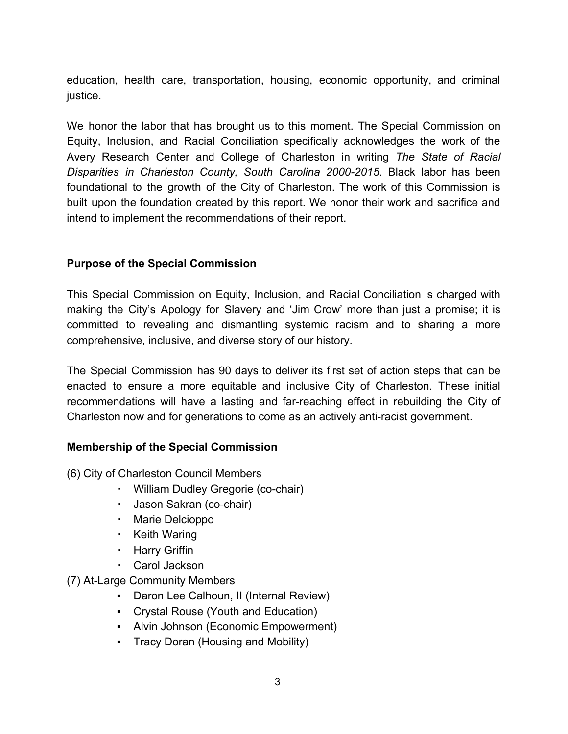education, health care, transportation, housing, economic opportunity, and criminal justice.

We honor the labor that has brought us to this moment. The Special Commission on Equity, Inclusion, and Racial Conciliation specifically acknowledges the work of the Avery Research Center and College of Charleston in writing *The State of Racial Disparities in Charleston County, South Carolina 2000-2015*. Black labor has been foundational to the growth of the City of Charleston. The work of this Commission is built upon the foundation created by this report. We honor their work and sacrifice and intend to implement the recommendations of their report.

## **Purpose of the Special Commission**

This Special Commission on Equity, Inclusion, and Racial Conciliation is charged with making the City's Apology for Slavery and 'Jim Crow' more than just a promise; it is committed to revealing and dismantling systemic racism and to sharing a more comprehensive, inclusive, and diverse story of our history.

The Special Commission has 90 days to deliver its first set of action steps that can be enacted to ensure a more equitable and inclusive City of Charleston. These initial recommendations will have a lasting and far-reaching effect in rebuilding the City of Charleston now and for generations to come as an actively anti-racist government.

## **Membership of the Special Commission**

(6) City of Charleston Council Members

- William Dudley Gregorie (co-chair)
- Jason Sakran (co-chair)
- Marie Delcioppo
- Keith Waring
- Harry Griffin
- Carol Jackson
- (7) At-Large Community Members
	- Daron Lee Calhoun, II (Internal Review)
	- Crystal Rouse (Youth and Education)
	- Alvin Johnson (Economic Empowerment)
	- **Tracy Doran (Housing and Mobility)**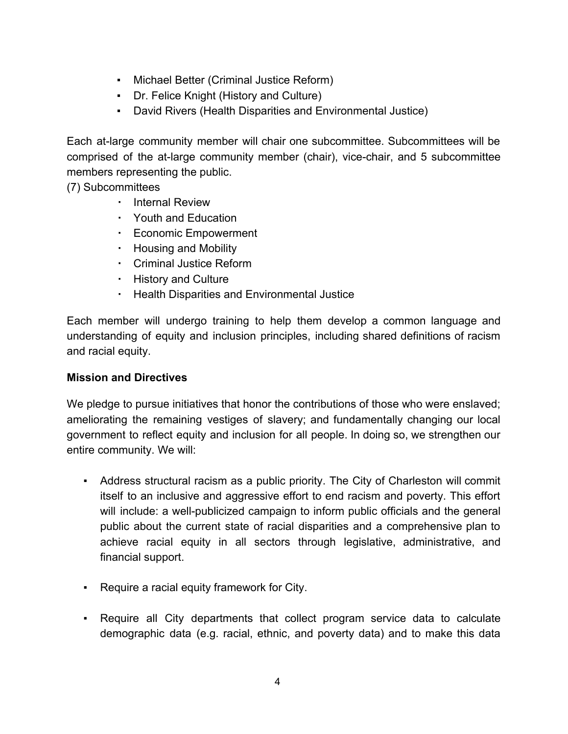- Michael Better (Criminal Justice Reform)
- Dr. Felice Knight (History and Culture)
- David Rivers (Health Disparities and Environmental Justice)

Each at-large community member will chair one subcommittee. Subcommittees will be comprised of the at-large community member (chair), vice-chair, and 5 subcommittee members representing the public.

(7) Subcommittees

- Internal Review
- Youth and Education
- Economic Empowerment
- Housing and Mobility
- Criminal Justice Reform
- History and Culture
- Health Disparities and Environmental Justice

Each member will undergo training to help them develop a common language and understanding of equity and inclusion principles, including shared definitions of racism and racial equity.

## **Mission and Directives**

We pledge to pursue initiatives that honor the contributions of those who were enslaved; ameliorating the remaining vestiges of slavery; and fundamentally changing our local government to reflect equity and inclusion for all people. In doing so, we strengthen our entire community. We will:

- Address structural racism as a public priority. The City of Charleston will commit itself to an inclusive and aggressive effort to end racism and poverty. This effort will include: a well-publicized campaign to inform public officials and the general public about the current state of racial disparities and a comprehensive plan to achieve racial equity in all sectors through legislative, administrative, and financial support.
- Require a racial equity framework for City.
- Require all City departments that collect program service data to calculate demographic data (e.g. racial, ethnic, and poverty data) and to make this data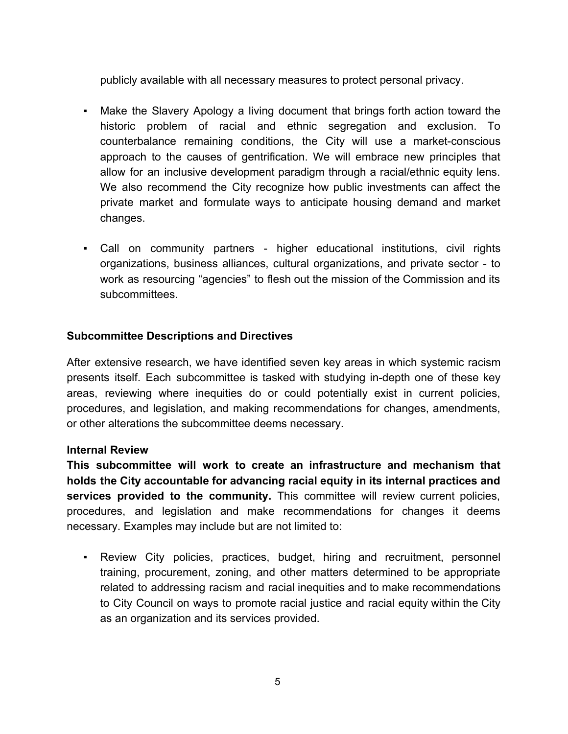publicly available with all necessary measures to protect personal privacy.

- Make the Slavery Apology a living document that brings forth action toward the historic problem of racial and ethnic segregation and exclusion. To counterbalance remaining conditions, the City will use a market-conscious approach to the causes of gentrification. We will embrace new principles that allow for an inclusive development paradigm through a racial/ethnic equity lens. We also recommend the City recognize how public investments can affect the private market and formulate ways to anticipate housing demand and market changes.
- Call on community partners higher educational institutions, civil rights organizations, business alliances, cultural organizations, and private sector - to work as resourcing "agencies" to flesh out the mission of the Commission and its subcommittees.

### **Subcommittee Descriptions and Directives**

After extensive research, we have identified seven key areas in which systemic racism presents itself. Each subcommittee is tasked with studying in-depth one of these key areas, reviewing where inequities do or could potentially exist in current policies, procedures, and legislation, and making recommendations for changes, amendments, or other alterations the subcommittee deems necessary.

#### **Internal Review**

**This subcommittee will work to create an infrastructure and mechanism that holds the City accountable for advancing racial equity in its internal practices and services provided to the community.** This committee will review current policies, procedures, and legislation and make recommendations for changes it deems necessary. Examples may include but are not limited to:

▪ Review City policies, practices, budget, hiring and recruitment, personnel training, procurement, zoning, and other matters determined to be appropriate related to addressing racism and racial inequities and to make recommendations to City Council on ways to promote racial justice and racial equity within the City as an organization and its services provided.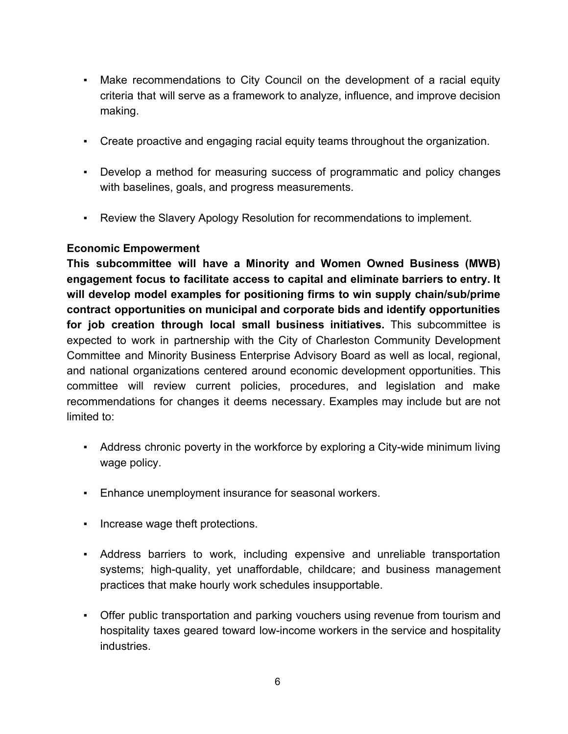- **Make recommendations to City Council on the development of a racial equity** criteria that will serve as a framework to analyze, influence, and improve decision making.
- Create proactive and engaging racial equity teams throughout the organization.
- Develop a method for measuring success of programmatic and policy changes with baselines, goals, and progress measurements.
- Review the Slavery Apology Resolution for recommendations to implement.

## **Economic Empowerment**

**This subcommittee will have a Minority and Women Owned Business (MWB) engagement focus to facilitate access to capital and eliminate barriers to entry. It will develop model examples for positioning firms to win supply chain/sub/prime contract opportunities on municipal and corporate bids and identify opportunities for job creation through local small business initiatives.** This subcommittee is expected to work in partnership with the City of Charleston Community Development Committee and Minority Business Enterprise Advisory Board as well as local, regional, and national organizations centered around economic development opportunities. This committee will review current policies, procedures, and legislation and make recommendations for changes it deems necessary. Examples may include but are not limited to:

- Address chronic poverty in the workforce by exploring a City-wide minimum living wage policy.
- Enhance unemployment insurance for seasonal workers.
- Increase wage theft protections.
- Address barriers to work, including expensive and unreliable transportation systems; high-quality, yet unaffordable, childcare; and business management practices that make hourly work schedules insupportable.
- Offer public transportation and parking vouchers using revenue from tourism and hospitality taxes geared toward low-income workers in the service and hospitality industries.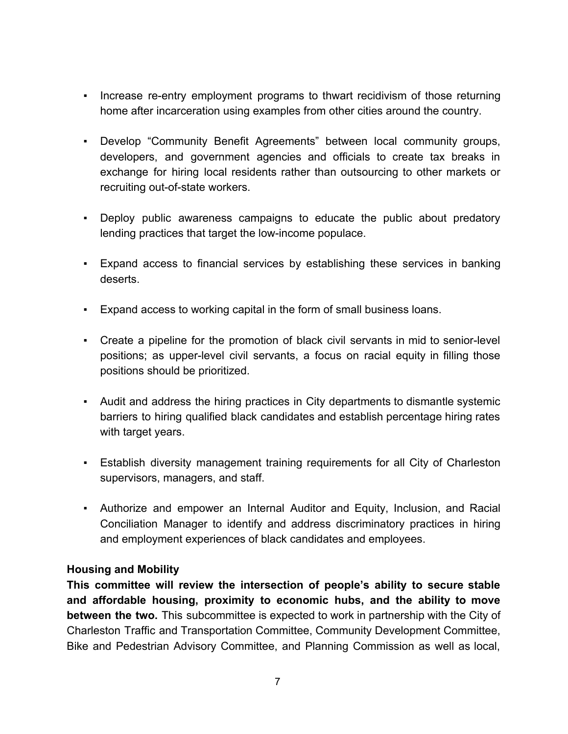- Increase re-entry employment programs to thwart recidivism of those returning home after incarceration using examples from other cities around the country.
- Develop "Community Benefit Agreements" between local community groups, developers, and government agencies and officials to create tax breaks in exchange for hiring local residents rather than outsourcing to other markets or recruiting out-of-state workers.
- Deploy public awareness campaigns to educate the public about predatory lending practices that target the low-income populace.
- Expand access to financial services by establishing these services in banking deserts.
- Expand access to working capital in the form of small business loans.
- Create a pipeline for the promotion of black civil servants in mid to senior-level positions; as upper-level civil servants, a focus on racial equity in filling those positions should be prioritized.
- Audit and address the hiring practices in City departments to dismantle systemic barriers to hiring qualified black candidates and establish percentage hiring rates with target years.
- **Establish diversity management training requirements for all City of Charleston** supervisors, managers, and staff.
- Authorize and empower an Internal Auditor and Equity, Inclusion, and Racial Conciliation Manager to identify and address discriminatory practices in hiring and employment experiences of black candidates and employees.

## **Housing and Mobility**

**This committee will review the intersection of people's ability to secure stable and affordable housing, proximity to economic hubs, and the ability to move between the two.** This subcommittee is expected to work in partnership with the City of Charleston Traffic and Transportation Committee, Community Development Committee, Bike and Pedestrian Advisory Committee, and Planning Commission as well as local,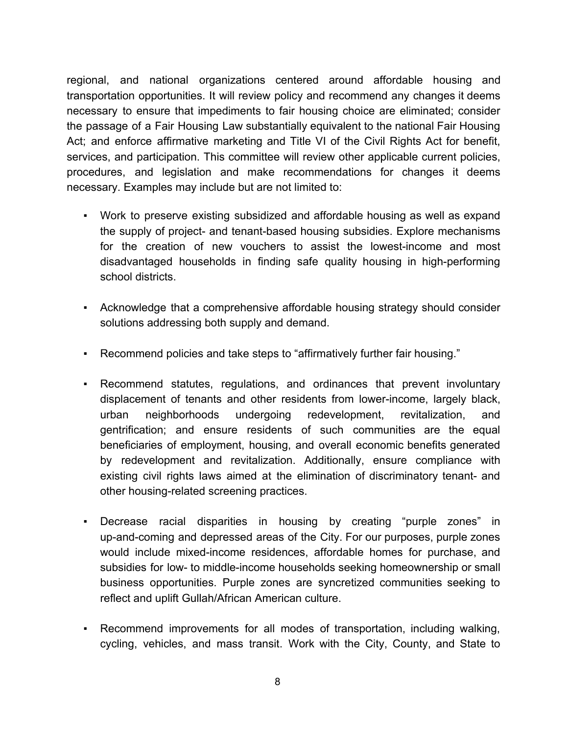regional, and national organizations centered around affordable housing and transportation opportunities. It will review policy and recommend any changes it deems necessary to ensure that impediments to fair housing choice are eliminated; consider the passage of a Fair Housing Law substantially equivalent to the national Fair Housing Act; and enforce affirmative marketing and Title VI of the Civil Rights Act for benefit, services, and participation. This committee will review other applicable current policies, procedures, and legislation and make recommendations for changes it deems necessary. Examples may include but are not limited to:

- Work to preserve existing subsidized and affordable housing as well as expand the supply of project- and tenant-based housing subsidies. Explore mechanisms for the creation of new vouchers to assist the lowest-income and most disadvantaged households in finding safe quality housing in high-performing school districts.
- Acknowledge that a comprehensive affordable housing strategy should consider solutions addressing both supply and demand.
- Recommend policies and take steps to "affirmatively further fair housing."
- Recommend statutes, regulations, and ordinances that prevent involuntary displacement of tenants and other residents from lower-income, largely black, urban neighborhoods undergoing redevelopment, revitalization, and gentrification; and ensure residents of such communities are the equal beneficiaries of employment, housing, and overall economic benefits generated by redevelopment and revitalization. Additionally, ensure compliance with existing civil rights laws aimed at the elimination of discriminatory tenant- and other housing-related screening practices.
- Decrease racial disparities in housing by creating "purple zones" in up-and-coming and depressed areas of the City. For our purposes, purple zones would include mixed-income residences, affordable homes for purchase, and subsidies for low- to middle-income households seeking homeownership or small business opportunities. Purple zones are syncretized communities seeking to reflect and uplift Gullah/African American culture.
- Recommend improvements for all modes of transportation, including walking, cycling, vehicles, and mass transit. Work with the City, County, and State to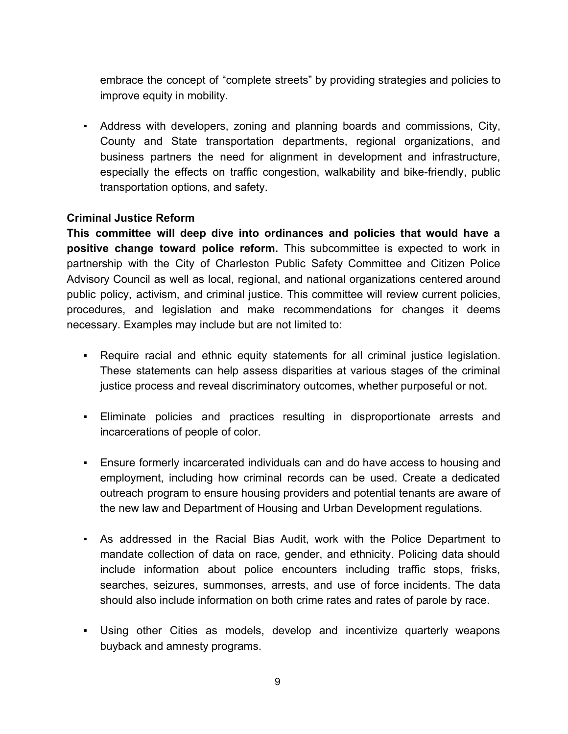embrace the concept of "complete streets" by providing strategies and policies to improve equity in mobility.

▪ Address with developers, zoning and planning boards and commissions, City, County and State transportation departments, regional organizations, and business partners the need for alignment in development and infrastructure, especially the effects on traffic congestion, walkability and bike-friendly, public transportation options, and safety.

### **Criminal Justice Reform**

**This committee will deep dive into ordinances and policies that would have a positive change toward police reform.** This subcommittee is expected to work in partnership with the City of Charleston Public Safety Committee and Citizen Police Advisory Council as well as local, regional, and national organizations centered around public policy, activism, and criminal justice. This committee will review current policies, procedures, and legislation and make recommendations for changes it deems necessary. Examples may include but are not limited to:

- Require racial and ethnic equity statements for all criminal justice legislation. These statements can help assess disparities at various stages of the criminal justice process and reveal discriminatory outcomes, whether purposeful or not.
- Eliminate policies and practices resulting in disproportionate arrests and incarcerations of people of color.
- Ensure formerly incarcerated individuals can and do have access to housing and employment, including how criminal records can be used. Create a dedicated outreach program to ensure housing providers and potential tenants are aware of the new law and Department of Housing and Urban Development regulations.
- As addressed in the Racial Bias Audit, work with the Police Department to mandate collection of data on race, gender, and ethnicity. Policing data should include information about police encounters including traffic stops, frisks, searches, seizures, summonses, arrests, and use of force incidents. The data should also include information on both crime rates and rates of parole by race.
- Using other Cities as models, develop and incentivize quarterly weapons buyback and amnesty programs.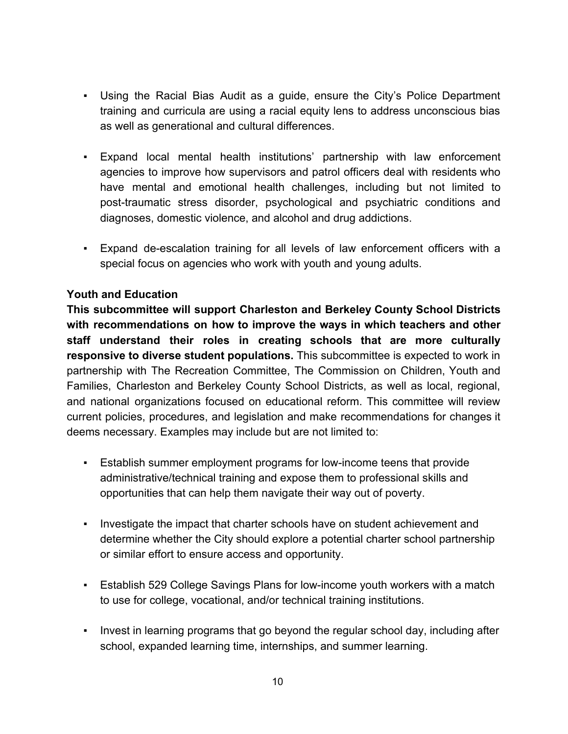- Using the Racial Bias Audit as a guide, ensure the City's Police Department training and curricula are using a racial equity lens to address unconscious bias as well as generational and cultural differences.
- Expand local mental health institutions' partnership with law enforcement agencies to improve how supervisors and patrol officers deal with residents who have mental and emotional health challenges, including but not limited to post-traumatic stress disorder, psychological and psychiatric conditions and diagnoses, domestic violence, and alcohol and drug addictions.
- Expand de-escalation training for all levels of law enforcement officers with a special focus on agencies who work with youth and young adults.

## **Youth and Education**

**This subcommittee will support Charleston and Berkeley County School Districts with recommendations on how to improve the ways in which teachers and other staff understand their roles in creating schools that are more culturally responsive to diverse student populations.** This subcommittee is expected to work in partnership with The Recreation Committee, The Commission on Children, Youth and Families, Charleston and Berkeley County School Districts, as well as local, regional, and national organizations focused on educational reform. This committee will review current policies, procedures, and legislation and make recommendations for changes it deems necessary. Examples may include but are not limited to:

- Establish summer employment programs for low-income teens that provide administrative/technical training and expose them to professional skills and opportunities that can help them navigate their way out of poverty.
- Investigate the impact that charter schools have on student achievement and determine whether the City should explore a potential charter school partnership or similar effort to ensure access and opportunity.
- Establish 529 College Savings Plans for low-income youth workers with a match to use for college, vocational, and/or technical training institutions.
- Invest in learning programs that go beyond the regular school day, including after school, expanded learning time, internships, and summer learning.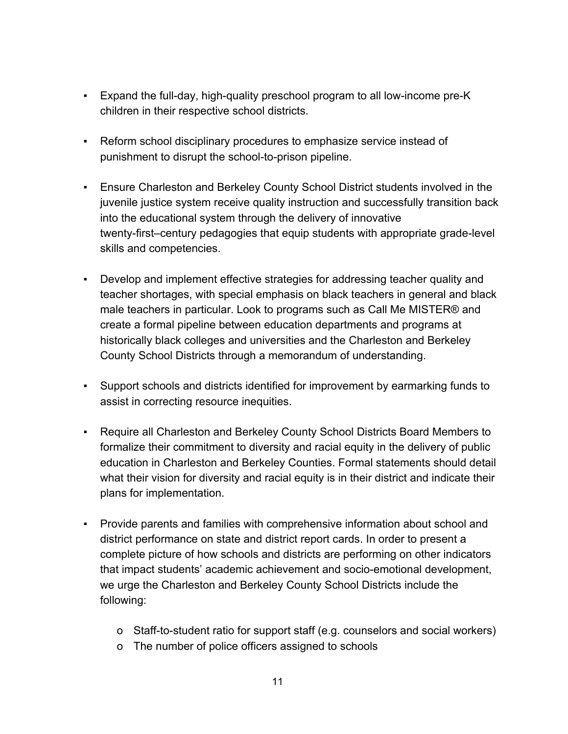- Expand the full-day, high-quality preschool program to all low-income pre-K children in their respective school districts.
- Reform school disciplinary procedures to emphasize service instead of punishment to disrupt the school-to-prison pipeline.
- Ensure Charleston and Berkeley County School District students involved in the juvenile justice system receive quality instruction and successfully transition back into the educational system through the delivery of innovative twenty-first–century pedagogies that equip students with appropriate grade-level skills and competencies.
- Develop and implement effective strategies for addressing teacher quality and teacher shortages, with special emphasis on black teachers in general and black male teachers in particular. Look to programs such as Call Me MISTER® and create a formal pipeline between education departments and programs at historically black colleges and universities and the Charleston and Berkeley County School Districts through a memorandum of understanding.
- Support schools and districts identified for improvement by earmarking funds to assist in correcting resource inequities.
- Require all Charleston and Berkeley County School Districts Board Members to formalize their commitment to diversity and racial equity in the delivery of public education in Charleston and Berkeley Counties. Formal statements should detail what their vision for diversity and racial equity is in their district and indicate their plans for implementation.
- Provide parents and families with comprehensive information about school and district performance on state and district report cards. In order to present a complete picture of how schools and districts are performing on other indicators that impact students' academic achievement and socio-emotional development, we urge the Charleston and Berkeley County School Districts include the following:
	- o Staff-to-student ratio for support staff (e.g. counselors and social workers)
	- o The number of police officers assigned to schools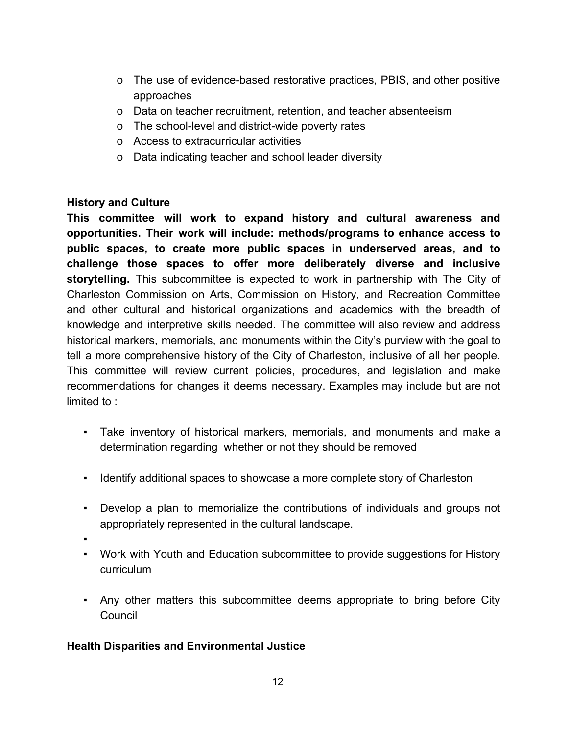- o The use of evidence-based restorative practices, PBIS, and other positive approaches
- o Data on teacher recruitment, retention, and teacher absenteeism
- o The school-level and district-wide poverty rates
- o Access to extracurricular activities
- o Data indicating teacher and school leader diversity

### **History and Culture**

**This committee will work to expand history and cultural awareness and opportunities. Their work will include: methods/programs to enhance access to public spaces, to create more public spaces in underserved areas, and to challenge those spaces to offer more deliberately diverse and inclusive storytelling.** This subcommittee is expected to work in partnership with The City of Charleston Commission on Arts, Commission on History, and Recreation Committee and other cultural and historical organizations and academics with the breadth of knowledge and interpretive skills needed. The committee will also review and address historical markers, memorials, and monuments within the City's purview with the goal to tell a more comprehensive history of the City of Charleston, inclusive of all her people. This committee will review current policies, procedures, and legislation and make recommendations for changes it deems necessary. Examples may include but are not limited to :

- Take inventory of historical markers, memorials, and monuments and make a determination regarding whether or not they should be removed
- Identify additional spaces to showcase a more complete story of Charleston
- Develop a plan to memorialize the contributions of individuals and groups not appropriately represented in the cultural landscape.
- ▪
- Work with Youth and Education subcommittee to provide suggestions for History curriculum
- Any other matters this subcommittee deems appropriate to bring before City Council

## **Health Disparities and Environmental Justice**